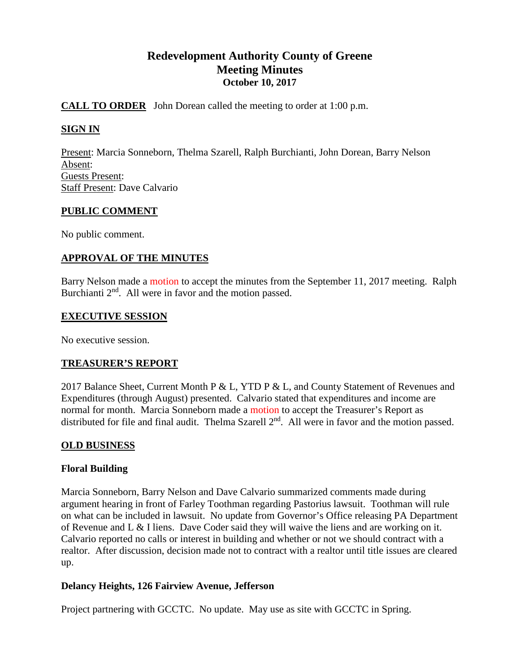# **Redevelopment Authority County of Greene Meeting Minutes October 10, 2017**

# **CALL TO ORDER** John Dorean called the meeting to order at 1:00 p.m.

# **SIGN IN**

Present: Marcia Sonneborn, Thelma Szarell, Ralph Burchianti, John Dorean, Barry Nelson Absent: Guests Present: Staff Present: Dave Calvario

# **PUBLIC COMMENT**

No public comment.

# **APPROVAL OF THE MINUTES**

Barry Nelson made a motion to accept the minutes from the September 11, 2017 meeting. Ralph Burchianti  $2<sup>nd</sup>$ . All were in favor and the motion passed.

### **EXECUTIVE SESSION**

No executive session.

# **TREASURER'S REPORT**

2017 Balance Sheet, Current Month P & L, YTD P & L, and County Statement of Revenues and Expenditures (through August) presented. Calvario stated that expenditures and income are normal for month. Marcia Sonneborn made a motion to accept the Treasurer's Report as distributed for file and final audit. Thelma Szarell 2<sup>nd</sup>. All were in favor and the motion passed.

# **OLD BUSINESS**

# **Floral Building**

Marcia Sonneborn, Barry Nelson and Dave Calvario summarized comments made during argument hearing in front of Farley Toothman regarding Pastorius lawsuit. Toothman will rule on what can be included in lawsuit. No update from Governor's Office releasing PA Department of Revenue and L & I liens. Dave Coder said they will waive the liens and are working on it. Calvario reported no calls or interest in building and whether or not we should contract with a realtor. After discussion, decision made not to contract with a realtor until title issues are cleared up.

# **Delancy Heights, 126 Fairview Avenue, Jefferson**

Project partnering with GCCTC. No update. May use as site with GCCTC in Spring.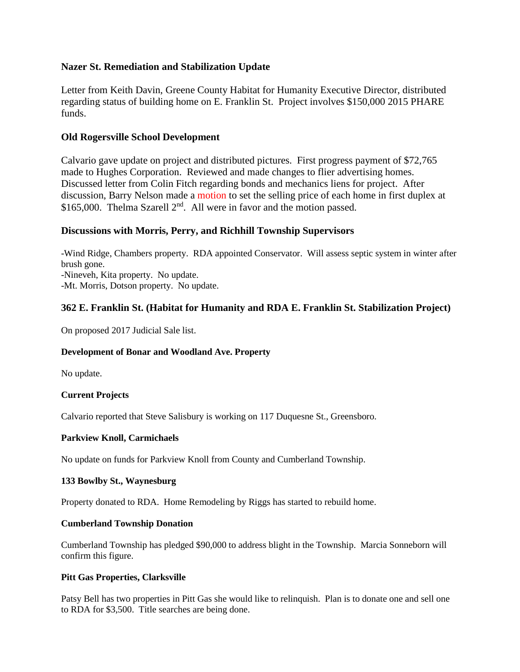# **Nazer St. Remediation and Stabilization Update**

Letter from Keith Davin, Greene County Habitat for Humanity Executive Director, distributed regarding status of building home on E. Franklin St. Project involves \$150,000 2015 PHARE funds.

### **Old Rogersville School Development**

Calvario gave update on project and distributed pictures. First progress payment of \$72,765 made to Hughes Corporation. Reviewed and made changes to flier advertising homes. Discussed letter from Colin Fitch regarding bonds and mechanics liens for project. After discussion, Barry Nelson made a motion to set the selling price of each home in first duplex at \$165,000. Thelma Szarell  $2<sup>nd</sup>$ . All were in favor and the motion passed.

# **Discussions with Morris, Perry, and Richhill Township Supervisors**

-Wind Ridge, Chambers property. RDA appointed Conservator. Will assess septic system in winter after brush gone. -Nineveh, Kita property. No update. -Mt. Morris, Dotson property. No update.

# **362 E. Franklin St. (Habitat for Humanity and RDA E. Franklin St. Stabilization Project)**

On proposed 2017 Judicial Sale list.

#### **Development of Bonar and Woodland Ave. Property**

No update.

#### **Current Projects**

Calvario reported that Steve Salisbury is working on 117 Duquesne St., Greensboro.

#### **Parkview Knoll, Carmichaels**

No update on funds for Parkview Knoll from County and Cumberland Township.

#### **133 Bowlby St., Waynesburg**

Property donated to RDA. Home Remodeling by Riggs has started to rebuild home.

#### **Cumberland Township Donation**

Cumberland Township has pledged \$90,000 to address blight in the Township. Marcia Sonneborn will confirm this figure.

#### **Pitt Gas Properties, Clarksville**

Patsy Bell has two properties in Pitt Gas she would like to relinquish. Plan is to donate one and sell one to RDA for \$3,500. Title searches are being done.